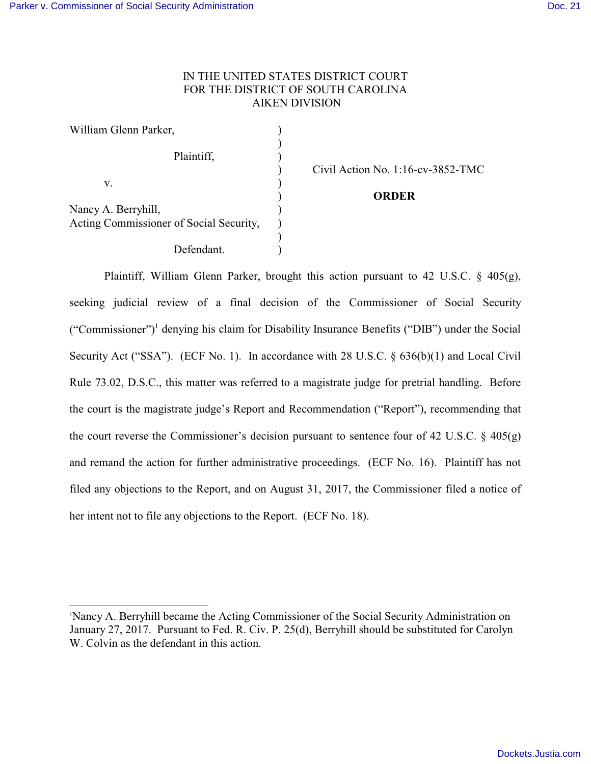## IN THE UNITED STATES DISTRICT COURT FOR THE DISTRICT OF SOUTH CAROLINA AIKEN DIVISION

| William Glenn Parker,                                          |  |
|----------------------------------------------------------------|--|
| Plaintiff,                                                     |  |
| V.                                                             |  |
|                                                                |  |
| Nancy A. Berryhill,<br>Acting Commissioner of Social Security, |  |
| Defendant.                                                     |  |

) Civil Action No. 1:16-cv-3852-TMC

## ) **ORDER**

Plaintiff, William Glenn Parker, brought this action pursuant to 42 U.S.C. § 405(g), seeking judicial review of a final decision of the Commissioner of Social Security ("Commissioner")<sup>1</sup> denying his claim for Disability Insurance Benefits ("DIB") under the Social Security Act ("SSA"). (ECF No. 1). In accordance with 28 U.S.C. § 636(b)(1) and Local Civil Rule 73.02, D.S.C., this matter was referred to a magistrate judge for pretrial handling. Before the court is the magistrate judge's Report and Recommendation ("Report"), recommending that the court reverse the Commissioner's decision pursuant to sentence four of 42 U.S.C.  $\S$  405(g) and remand the action for further administrative proceedings. (ECF No. 16). Plaintiff has not filed any objections to the Report, and on August 31, 2017, the Commissioner filed a notice of her intent not to file any objections to the Report. (ECF No. 18).

<sup>1</sup>Nancy A. Berryhill became the Acting Commissioner of the Social Security Administration on January 27, 2017. Pursuant to Fed. R. Civ. P. 25(d), Berryhill should be substituted for Carolyn W. Colvin as the defendant in this action.